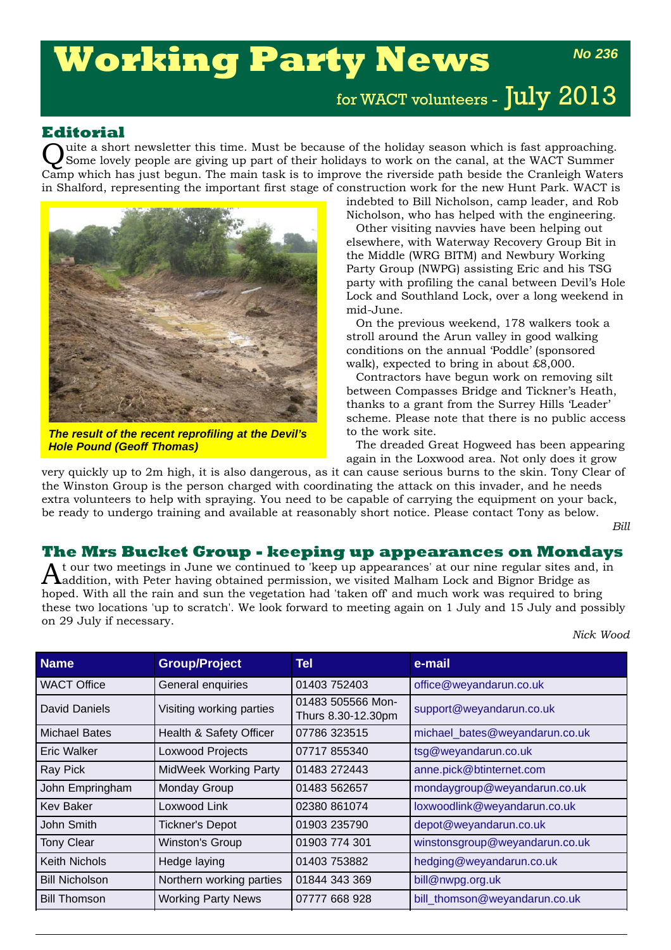# **Working Party News**

for WACT volunteers - July 2013

## **Editorial**

Quite a short newsletter this time. Must be because of the holiday season which is fast approaching. Some lovely people are giving up part of their holidays to work on the canal, at the WACT Summer Camp which has just begun. The main task is to improve the riverside path beside the Cranleigh Waters in Shalford, representing the important first stage of construction work for the new Hunt Park. WACT is



*The result of the recent reprofiling at the Devil's Hole Pound (Geoff Thomas)*

indebted to Bill Nicholson, camp leader, and Rob Nicholson, who has helped with the engineering.

Other visiting navvies have been helping out elsewhere, with Waterway Recovery Group Bit in the Middle (WRG BITM) and Newbury Working Party Group (NWPG) assisting Eric and his TSG party with profiling the canal between Devil's Hole Lock and Southland Lock, over a long weekend in mid-June.

On the previous weekend, 178 walkers took a stroll around the Arun valley in good walking conditions on the annual 'Poddle' (sponsored walk), expected to bring in about £8,000.

Contractors have begun work on removing silt between Compasses Bridge and Tickner's Heath, thanks to a grant from the Surrey Hills 'Leader' scheme. Please note that there is no public access to the work site.

The dreaded Great Hogweed has been appearing again in the Loxwood area. Not only does it grow

very quickly up to 2m high, it is also dangerous, as it can cause serious burns to the skin. Tony Clear of the Winston Group is the person charged with coordinating the attack on this invader, and he needs extra volunteers to help with spraying. You need to be capable of carrying the equipment on your back, be ready to undergo training and available at reasonably short notice. Please contact Tony as below.

*Bill*

*No 236*

#### **The Mrs Bucket Group - keeping up appearances on Mondays**

At our two meetings in June we continued to 'keep up appearances' at our nine regular sites and, in addition, with Peter having obtained permission, we visited Malham Lock and Bignor Bridge as hoped. With all the rain and sun the vegetation had 'taken off' and much work was required to bring these two locations 'up to scratch'. We look forward to meeting again on 1 July and 15 July and possibly on 29 July if necessary.

*Nick Wood*

| <b>Name</b>           | <b>Group/Project</b>         | Tel                                     | e-mail                         |
|-----------------------|------------------------------|-----------------------------------------|--------------------------------|
| <b>WACT Office</b>    | General enquiries            | 01403 752403                            | office@weyandarun.co.uk        |
| <b>David Daniels</b>  | Visiting working parties     | 01483 505566 Mon-<br>Thurs 8.30-12.30pm | support@weyandarun.co.uk       |
| Michael Bates         | Health & Safety Officer      | 07786 323515                            | michael_bates@weyandarun.co.uk |
| Eric Walker           | Loxwood Projects             | 07717 855340                            | tsg@weyandarun.co.uk           |
| Ray Pick              | <b>MidWeek Working Party</b> | 01483 272443                            | anne.pick@btinternet.com       |
| John Empringham       | Monday Group                 | 01483 562657                            | mondaygroup@weyandarun.co.uk   |
| Kev Baker             | Loxwood Link                 | 02380 861074                            | loxwoodlink@weyandarun.co.uk   |
| John Smith            | <b>Tickner's Depot</b>       | 01903 235790                            | depot@weyandarun.co.uk         |
| <b>Tony Clear</b>     | <b>Winston's Group</b>       | 01903 774 301                           | winstonsgroup@weyandarun.co.uk |
| <b>Keith Nichols</b>  | Hedge laying                 | 01403 753882                            | hedging@weyandarun.co.uk       |
| <b>Bill Nicholson</b> | Northern working parties     | 01844 343 369                           | bill@nwpg.org.uk               |
| <b>Bill Thomson</b>   | <b>Working Party News</b>    | 07777 668 928                           | bill_thomson@weyandarun.co.uk  |